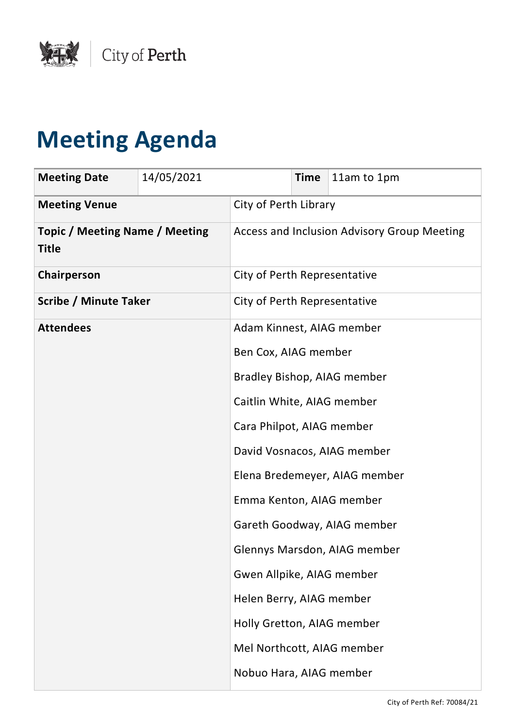

## **Meeting Agenda**

| <b>Meeting Date</b>                                   | 14/05/2021 |                              | <b>Time</b> | 11am to 1pm                                 |
|-------------------------------------------------------|------------|------------------------------|-------------|---------------------------------------------|
| <b>Meeting Venue</b>                                  |            | City of Perth Library        |             |                                             |
| <b>Topic / Meeting Name / Meeting</b><br><b>Title</b> |            |                              |             | Access and Inclusion Advisory Group Meeting |
| Chairperson                                           |            | City of Perth Representative |             |                                             |
| <b>Scribe / Minute Taker</b>                          |            | City of Perth Representative |             |                                             |
| <b>Attendees</b>                                      |            | Adam Kinnest, AIAG member    |             |                                             |
|                                                       |            | Ben Cox, AIAG member         |             |                                             |
|                                                       |            | Bradley Bishop, AIAG member  |             |                                             |
|                                                       |            | Caitlin White, AIAG member   |             |                                             |
|                                                       |            | Cara Philpot, AIAG member    |             |                                             |
|                                                       |            |                              |             | David Vosnacos, AIAG member                 |
|                                                       |            |                              |             | Elena Bredemeyer, AIAG member               |
|                                                       |            | Emma Kenton, AIAG member     |             |                                             |
|                                                       |            |                              |             | Gareth Goodway, AIAG member                 |
|                                                       |            |                              |             | Glennys Marsdon, AIAG member                |
|                                                       |            | Gwen Allpike, AIAG member    |             |                                             |
|                                                       |            | Helen Berry, AIAG member     |             |                                             |
|                                                       |            | Holly Gretton, AIAG member   |             |                                             |
|                                                       |            | Mel Northcott, AIAG member   |             |                                             |
|                                                       |            | Nobuo Hara, AIAG member      |             |                                             |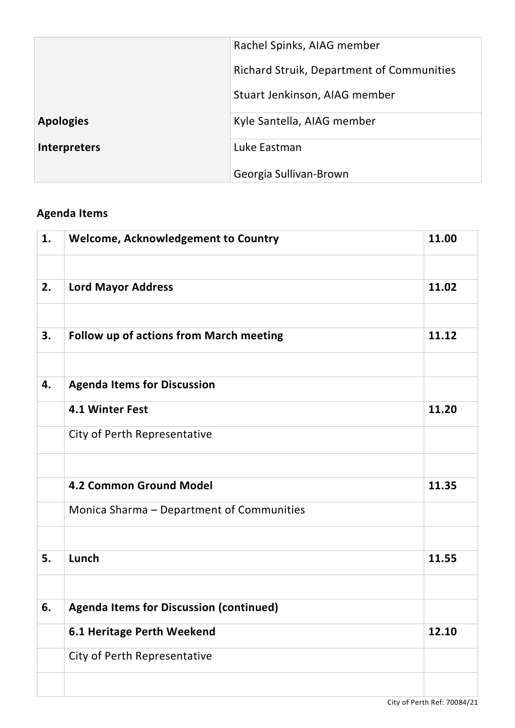|                     | Rachel Spinks, AIAG member                       |
|---------------------|--------------------------------------------------|
|                     | <b>Richard Struik, Department of Communities</b> |
|                     | Stuart Jenkinson, AIAG member                    |
| <b>Apologies</b>    | Kyle Santella, AIAG member                       |
| <b>Interpreters</b> | Luke Eastman                                     |
|                     | Georgia Sullivan-Brown                           |

## **Agenda Items**

| 1. | <b>Welcome, Acknowledgement to Country</b>     | 11.00 |
|----|------------------------------------------------|-------|
|    |                                                |       |
| 2. | <b>Lord Mayor Address</b>                      | 11.02 |
|    |                                                |       |
| 3. | <b>Follow up of actions from March meeting</b> | 11.12 |
|    |                                                |       |
| 4. | <b>Agenda Items for Discussion</b>             |       |
|    | 4.1 Winter Fest                                | 11.20 |
|    | City of Perth Representative                   |       |
|    |                                                |       |
|    | <b>4.2 Common Ground Model</b>                 | 11.35 |
|    | Monica Sharma - Department of Communities      |       |
|    |                                                |       |
| 5. | Lunch                                          | 11.55 |
|    |                                                |       |
| 6. | <b>Agenda Items for Discussion (continued)</b> |       |
|    | <b>6.1 Heritage Perth Weekend</b>              | 12.10 |
|    | City of Perth Representative                   |       |
|    |                                                |       |